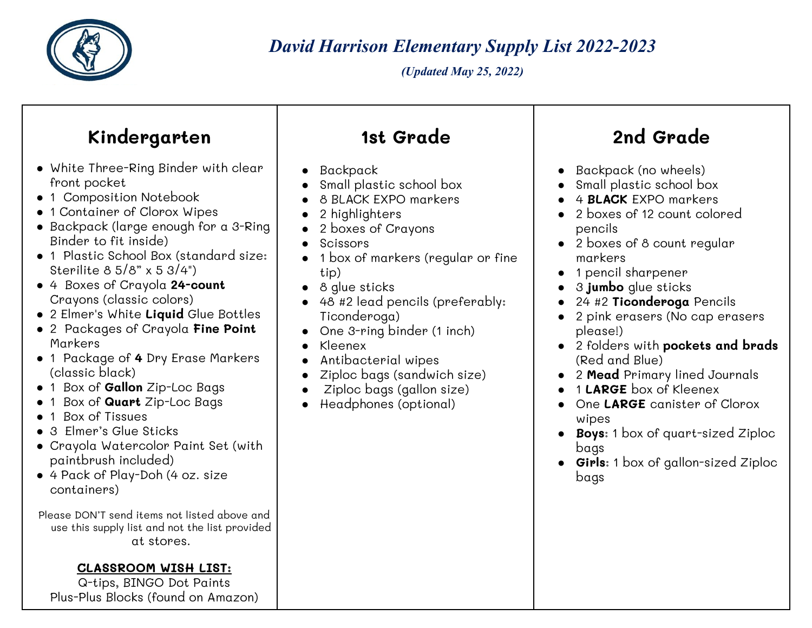

*David Harrison Elementary Supply List 2022-2023*

*(Updated May 25, 2022)*

## **Kindergarten** ● White Three-Ring Binder with clear front pocket ● 1 Composition Notebook ● 1 Container of Clorox Wipes ● Backpack (large enough for a 3-Ring Binder to fit inside) ● 1 Plastic School Box (standard size: Sterilite 8 5/8" x 5 3/4") ● 4 Boxes of Crayola **24-count** Crayons (classic colors) ● 2 Elmer's White **Liquid** Glue Bottles ● 2 Packages of Crayola **Fine Point** Markers ● 1 Package of **4** Dry Erase Markers (classic black) ● 1 Box of **Gallon** Zip-Loc Bags ● 1 Box of **Quart** Zip-Loc Bags ● 1 Box of Tissues ● 3 Elmer's Glue Sticks ● Crayola Watercolor Paint Set (with paintbrush included) ● 4 Pack of Play-Doh (4 oz. size containers) Please DON'T send items not listed above and use this supply list and not the list provided **1st Grade** ● Backpack Small plastic school box 8 BLACK FXPO markers 2 highlighters 2 boxes of Crayons **Scissors** ● 1 box of markers (regular or fine tip) ● 8 glue sticks ● 48 #2 lead pencils (preferably: Ticonderoga) ● One 3-ring binder (1 inch) ● Kleenex ● Antibacterial wipes Ziploc bags (sandwich size) Ziploc bags (gallon size) Headphones (optional) **2nd Grade** ● Backpack (no wheels) Small plastic school box 4 **BLACK** FXPO markers ● 2 boxes of 12 count colored pencils ● 2 boxes of 8 count regular markers ● 1 pencil sharpener ● 3 **jumbo** glue sticks ● 24 #2 **Ticonderoga** Pencils ● 2 pink erasers (No cap erasers please!) ● 2 folders with **pockets and brads** (Red and Blue) ● 2 **Mead** Primary lined Journals ● 1 **LARGE** box of Kleenex One LARGE canister of Clorox wipes ● **Boys**: 1 box of quart-sized Ziploc bags ● **Girls**: 1 box of gallon-sized Ziploc bags

at stores.

## **CLASSROOM WISH LIST:**

Q-tips, BINGO Dot Paints Plus-Plus Blocks (found on Amazon)